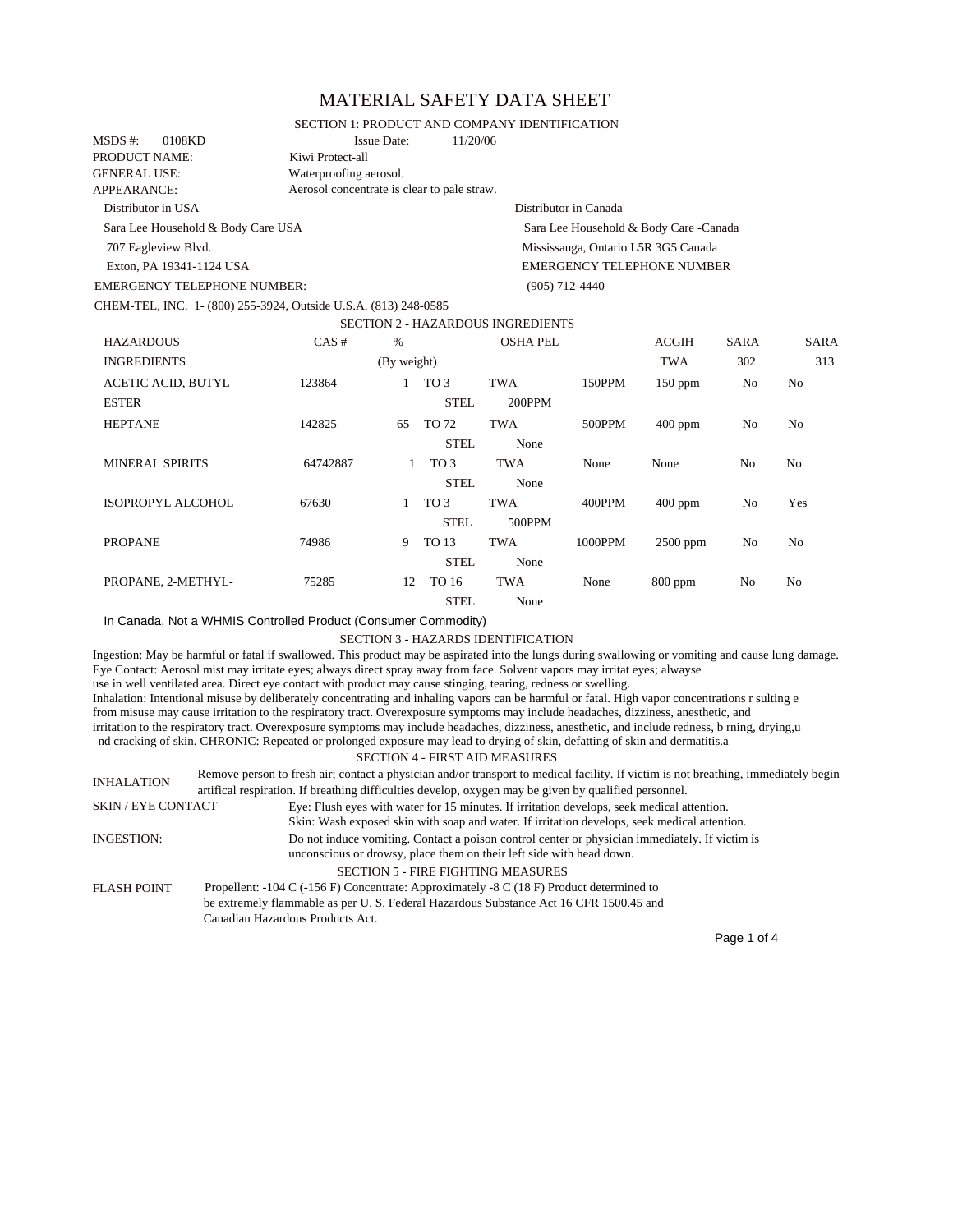# MATERIAL SAFETY DATA SHEET

#### SECTION 1: PRODUCT AND COMPANY IDENTIFICATION

| MSDS #:             | 0108KD                             | <b>Issue Date:</b>                          | 11/20/06 |                                         |
|---------------------|------------------------------------|---------------------------------------------|----------|-----------------------------------------|
| PRODUCT NAME:       |                                    | Kiwi Protect-all                            |          |                                         |
| <b>GENERAL USE:</b> |                                    | Waterproofing aerosol.                      |          |                                         |
| APPEARANCE:         |                                    | Aerosol concentrate is clear to pale straw. |          |                                         |
| Distributor in USA  |                                    |                                             |          | Distributor in Canada                   |
|                     | Sara Lee Household & Body Care USA |                                             |          | Sara Lee Household & Body Care - Canada |
| 707 Eagleview Blvd. |                                    |                                             |          | Mississauga, Ontario L5R 3G5 Canada     |
|                     | Exton, PA 19341-1124 USA           |                                             |          | <b>EMERGENCY TELEPHONE NUMBER</b>       |
|                     | <b>EMERGENCY TELEPHONE NUMBER:</b> |                                             |          | $(905)$ 712-4440                        |

CHEM-TEL, INC. 1- (800) 255-3924, Outside U.S.A. (813) 248-0585

# SECTION 2 - HAZARDOUS INGREDIENTS

| <b>HAZARDOUS</b>                          | CAS#     | %           |                                | <b>OSHA PEL</b>      |         | <b>ACGIH</b> | <b>SARA</b>    | <b>SARA</b>    |
|-------------------------------------------|----------|-------------|--------------------------------|----------------------|---------|--------------|----------------|----------------|
| <b>INGREDIENTS</b>                        |          | (By weight) |                                |                      |         | <b>TWA</b>   | 302            | 313            |
| <b>ACETIC ACID, BUTYL</b><br><b>ESTER</b> | 123864   |             | TO <sub>3</sub><br><b>STEL</b> | <b>TWA</b><br>200PPM | 150PPM  | $150$ ppm    | No             | N <sub>o</sub> |
| <b>HEPTANE</b>                            | 142825   | 65          | TO 72<br><b>STEL</b>           | <b>TWA</b><br>None   | 500PPM  | $400$ ppm    | No             | No             |
| <b>MINERAL SPIRITS</b>                    | 64742887 | 1           | TO 3<br><b>STEL</b>            | TWA<br>None          | None    | None         | N <sub>o</sub> | N <sub>0</sub> |
| ISOPROPYL ALCOHOL                         | 67630    |             | TO 3<br><b>STEL</b>            | <b>TWA</b><br>500PPM | 400PPM  | $400$ ppm    | No             | Yes            |
| <b>PROPANE</b>                            | 74986    | 9           | TO 13<br><b>STEL</b>           | <b>TWA</b><br>None   | 1000PPM | $2500$ ppm   | No             | N <sub>0</sub> |
| PROPANE, 2-METHYL-                        | 75285    | 12          | TO 16<br><b>STEL</b>           | TWA<br>None          | None    | $800$ ppm    | No             | No             |

In Canada, Not a WHMIS Controlled Product (Consumer Commodity)

#### SECTION 3 - HAZARDS IDENTIFICATION

Ingestion: May be harmful or fatal if swallowed. This product may be aspirated into the lungs during swallowing or vomiting and cause lung damage. Eye Contact: Aerosol mist may irritate eyes; always direct spray away from face. Solvent vapors may irritat eyes; alwayse use in well ventilated area. Direct eye contact with product may cause stinging, tearing, redness or swelling. Inhalation: Intentional misuse by deliberately concentrating and inhaling vapors can be harmful or fatal. High vapor concentrations r sulting e from misuse may cause irritation to the respiratory tract. Overexposure symptoms may include headaches, dizziness, anesthetic, and irritation to the respiratory tract. Overexposure symptoms may include headaches, dizziness, anesthetic, and include redness, b rning, drying,u nd cracking of skin. CHRONIC: Repeated or prolonged exposure may lead to drying of skin, defatting of skin and dermatitis.a SECTION 4 - FIRST AID MEASURES INHALATION Remove person to fresh air; contact a physician and/or transport to medical facility. If victim is not breathing, immediately begin artifical respiration. If breathing difficulties develop, oxygen may be given by qualified personnel. SKIN / EYE CONTACT Eye: Flush eyes with water for 15 minutes. If irritation develops, seek medical attention. Skin: Wash exposed skin with soap and water. If irritation develops, seek medical attention.

INGESTION: Do not induce vomiting. Contact a poison control center or physician immediately. If victim is unconscious or drowsy, place them on their left side with head down. SECTION 5 - FIRE FIGHTING MEASURES FLASH POINT Propellent: -104 C (-156 F) Concentrate: Approximately -8 C (18 F) Product determined to be extremely flammable as per U. S. Federal Hazardous Substance Act 16 CFR 1500.45 and Canadian Hazardous Products Act.

Page 1 of 4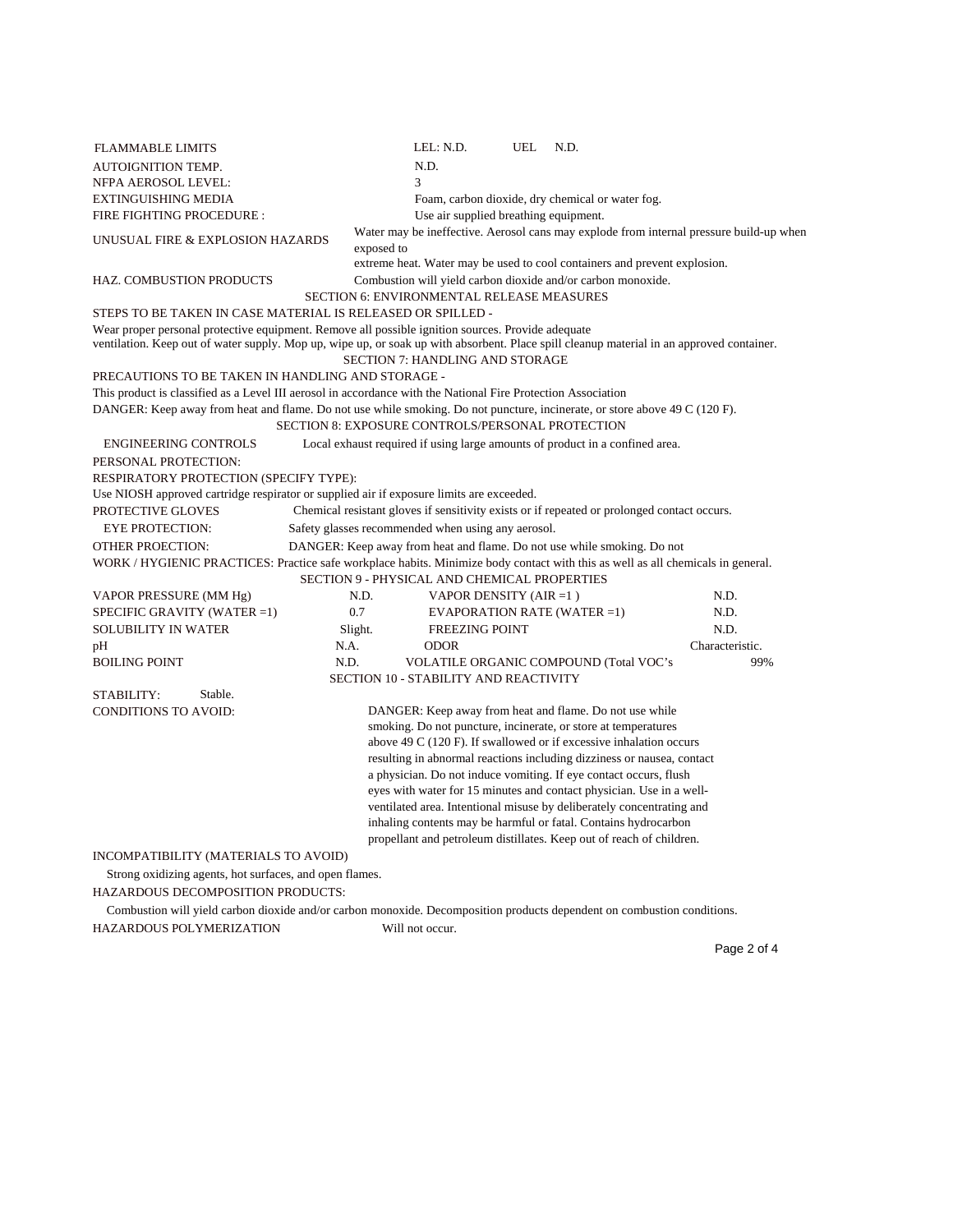| <b>FLAMMABLE LIMITS</b>                                                                                                                                                                                                                        |            | LEL: N.D.                                          | UEL | N.D.                                                                                        |                 |
|------------------------------------------------------------------------------------------------------------------------------------------------------------------------------------------------------------------------------------------------|------------|----------------------------------------------------|-----|---------------------------------------------------------------------------------------------|-----------------|
| <b>AUTOIGNITION TEMP.</b>                                                                                                                                                                                                                      |            | N.D.                                               |     |                                                                                             |                 |
| NFPA AEROSOL LEVEL:                                                                                                                                                                                                                            |            | 3                                                  |     |                                                                                             |                 |
| EXTINGUISHING MEDIA                                                                                                                                                                                                                            |            |                                                    |     | Foam, carbon dioxide, dry chemical or water fog.                                            |                 |
| FIRE FIGHTING PROCEDURE :                                                                                                                                                                                                                      |            | Use air supplied breathing equipment.              |     |                                                                                             |                 |
| UNUSUAL FIRE & EXPLOSION HAZARDS                                                                                                                                                                                                               | exposed to |                                                    |     | Water may be ineffective. Aerosol cans may explode from internal pressure build-up when     |                 |
|                                                                                                                                                                                                                                                |            |                                                    |     | extreme heat. Water may be used to cool containers and prevent explosion.                   |                 |
| <b>HAZ. COMBUSTION PRODUCTS</b>                                                                                                                                                                                                                |            |                                                    |     | Combustion will yield carbon dioxide and/or carbon monoxide.                                |                 |
|                                                                                                                                                                                                                                                |            | SECTION 6: ENVIRONMENTAL RELEASE MEASURES          |     |                                                                                             |                 |
| STEPS TO BE TAKEN IN CASE MATERIAL IS RELEASED OR SPILLED -                                                                                                                                                                                    |            |                                                    |     |                                                                                             |                 |
| Wear proper personal protective equipment. Remove all possible ignition sources. Provide adequate<br>ventilation. Keep out of water supply. Mop up, wipe up, or soak up with absorbent. Place spill cleanup material in an approved container. |            |                                                    |     |                                                                                             |                 |
|                                                                                                                                                                                                                                                |            | SECTION 7: HANDLING AND STORAGE                    |     |                                                                                             |                 |
| PRECAUTIONS TO BE TAKEN IN HANDLING AND STORAGE -                                                                                                                                                                                              |            |                                                    |     |                                                                                             |                 |
| This product is classified as a Level III aerosol in accordance with the National Fire Protection Association                                                                                                                                  |            |                                                    |     |                                                                                             |                 |
| DANGER: Keep away from heat and flame. Do not use while smoking. Do not puncture, incinerate, or store above 49 C (120 F).                                                                                                                     |            |                                                    |     |                                                                                             |                 |
|                                                                                                                                                                                                                                                |            | SECTION 8: EXPOSURE CONTROLS/PERSONAL PROTECTION   |     |                                                                                             |                 |
| <b>ENGINEERING CONTROLS</b>                                                                                                                                                                                                                    |            |                                                    |     | Local exhaust required if using large amounts of product in a confined area.                |                 |
| PERSONAL PROTECTION:                                                                                                                                                                                                                           |            |                                                    |     |                                                                                             |                 |
| RESPIRATORY PROTECTION (SPECIFY TYPE):                                                                                                                                                                                                         |            |                                                    |     |                                                                                             |                 |
| Use NIOSH approved cartridge respirator or supplied air if exposure limits are exceeded.                                                                                                                                                       |            |                                                    |     |                                                                                             |                 |
| PROTECTIVE GLOVES                                                                                                                                                                                                                              |            |                                                    |     | Chemical resistant gloves if sensitivity exists or if repeated or prolonged contact occurs. |                 |
| <b>EYE PROTECTION:</b>                                                                                                                                                                                                                         |            | Safety glasses recommended when using any aerosol. |     |                                                                                             |                 |
| <b>OTHER PROECTION:</b>                                                                                                                                                                                                                        |            |                                                    |     | DANGER: Keep away from heat and flame. Do not use while smoking. Do not                     |                 |
| WORK / HYGIENIC PRACTICES: Practice safe workplace habits. Minimize body contact with this as well as all chemicals in general.                                                                                                                |            |                                                    |     |                                                                                             |                 |
|                                                                                                                                                                                                                                                |            | SECTION 9 - PHYSICAL AND CHEMICAL PROPERTIES       |     |                                                                                             |                 |
| VAPOR PRESSURE (MM Hg)                                                                                                                                                                                                                         | N.D.       | VAPOR DENSITY (AIR $=1$ )                          |     |                                                                                             | N.D.            |
| SPECIFIC GRAVITY (WATER =1)                                                                                                                                                                                                                    | 0.7        |                                                    |     | <b>EVAPORATION RATE (WATER =1)</b>                                                          | N.D.            |
| <b>SOLUBILITY IN WATER</b>                                                                                                                                                                                                                     | Slight.    | <b>FREEZING POINT</b>                              |     |                                                                                             | N.D.            |
| pH                                                                                                                                                                                                                                             | N.A.       | <b>ODOR</b>                                        |     |                                                                                             | Characteristic. |
| <b>BOILING POINT</b>                                                                                                                                                                                                                           | N.D.       |                                                    |     | <b>VOLATILE ORGANIC COMPOUND (Total VOC's</b>                                               | 99%             |
|                                                                                                                                                                                                                                                |            | <b>SECTION 10 - STABILITY AND REACTIVITY</b>       |     |                                                                                             |                 |
| Stable.<br>STABILITY:                                                                                                                                                                                                                          |            |                                                    |     |                                                                                             |                 |
| <b>CONDITIONS TO AVOID:</b>                                                                                                                                                                                                                    |            |                                                    |     | DANGER: Keep away from heat and flame. Do not use while                                     |                 |
|                                                                                                                                                                                                                                                |            |                                                    |     | smoking. Do not puncture, incinerate, or store at temperatures                              |                 |
|                                                                                                                                                                                                                                                |            |                                                    |     | above 49 C $(120 F)$ . If swallowed or if excessive inhalation occurs                       |                 |
|                                                                                                                                                                                                                                                |            |                                                    |     | resulting in abnormal reactions including dizziness or nausea, contact                      |                 |
|                                                                                                                                                                                                                                                |            |                                                    |     | a physician. Do not induce vomiting. If eye contact occurs, flush                           |                 |
|                                                                                                                                                                                                                                                |            |                                                    |     | eyes with water for 15 minutes and contact physician. Use in a well-                        |                 |
|                                                                                                                                                                                                                                                |            |                                                    |     | ventilated area. Intentional misuse by deliberately concentrating and                       |                 |
|                                                                                                                                                                                                                                                |            |                                                    |     | inhaling contents may be harmful or fatal. Contains hydrocarbon                             |                 |
|                                                                                                                                                                                                                                                |            |                                                    |     | propellant and petroleum distillates. Keep out of reach of children.                        |                 |
| INCOMPATIBILITY (MATERIALS TO AVOID)                                                                                                                                                                                                           |            |                                                    |     |                                                                                             |                 |
| Strong oxidizing agents, hot surfaces, and open flames.                                                                                                                                                                                        |            |                                                    |     |                                                                                             |                 |
| HAZARDOUS DECOMPOSITION PRODUCTS:                                                                                                                                                                                                              |            |                                                    |     |                                                                                             |                 |

Combustion will yield carbon dioxide and/or carbon monoxide. Decomposition products dependent on combustion conditions.

HAZARDOUS POLYMERIZATION Will not occur.

Page 2 of 4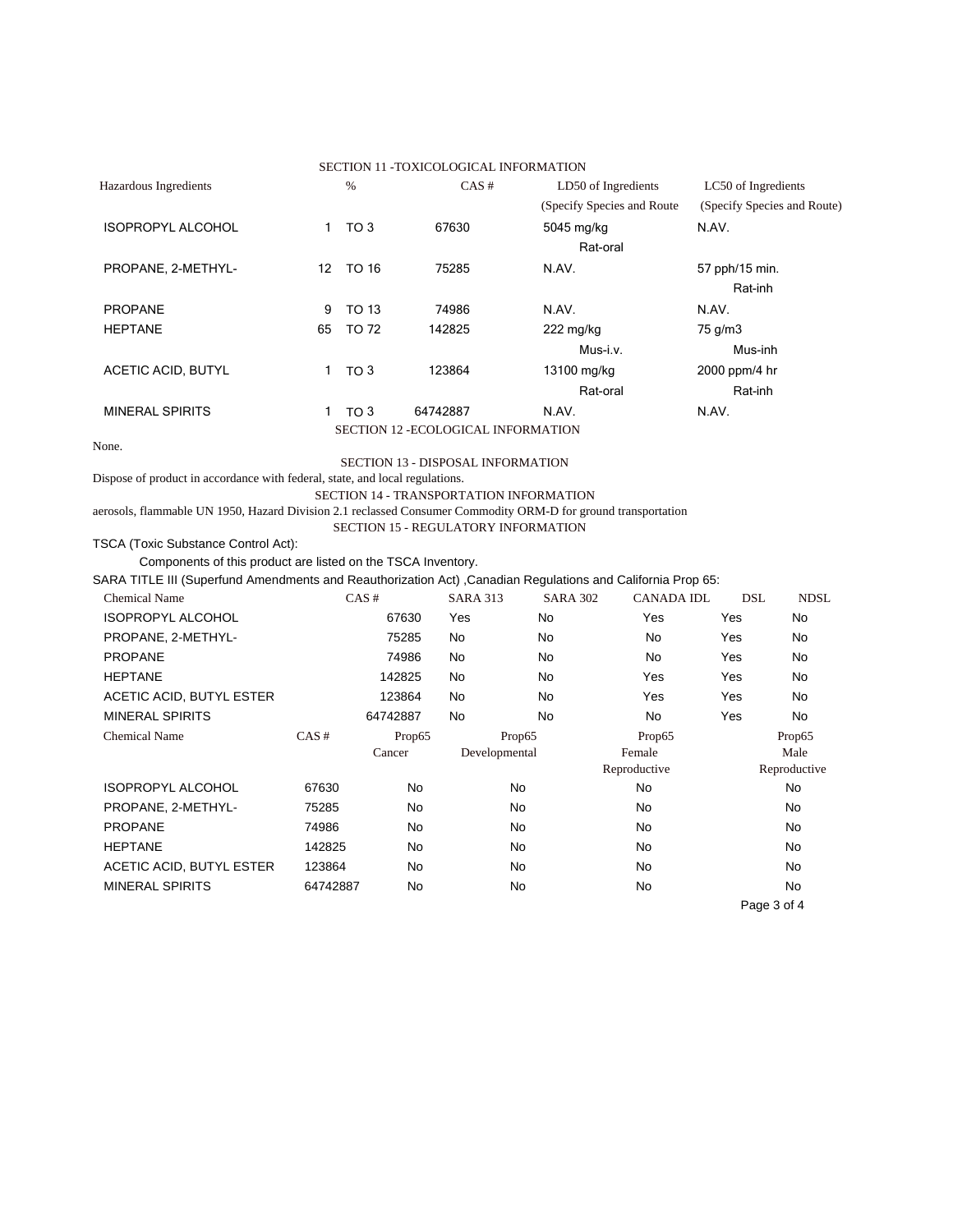|                                                                                                               |                                 |              | SECTION 11 -TOXICOLOGICAL INFORMATION    |                     |                             |                             |              |
|---------------------------------------------------------------------------------------------------------------|---------------------------------|--------------|------------------------------------------|---------------------|-----------------------------|-----------------------------|--------------|
| Hazardous Ingredients                                                                                         | $\%$                            |              | CAS#                                     |                     | LD50 of Ingredients         | LC50 of Ingredients         |              |
|                                                                                                               |                                 |              |                                          |                     | (Specify Species and Route) | (Specify Species and Route) |              |
| <b>ISOPROPYL ALCOHOL</b>                                                                                      | $\mathbf{1}$<br>TO <sub>3</sub> |              | 67630                                    | 5045 mg/kg          |                             | N.AV.                       |              |
|                                                                                                               |                                 |              |                                          |                     | Rat-oral                    |                             |              |
| PROPANE, 2-METHYL-                                                                                            | 12                              | <b>TO 16</b> | 75285                                    | N.AV.               |                             | 57 pph/15 min.              |              |
|                                                                                                               |                                 |              |                                          |                     |                             | Rat-inh                     |              |
| <b>PROPANE</b>                                                                                                | 9                               | <b>TO 13</b> | 74986                                    | N.AV.               |                             | N.AV.                       |              |
| <b>HEPTANE</b>                                                                                                | 65                              | <b>TO 72</b> | 142825                                   | $222 \text{ mg/kg}$ |                             | 75 g/m3                     |              |
|                                                                                                               |                                 |              |                                          |                     | Mus-i.v.                    | Mus-inh                     |              |
| <b>ACETIC ACID, BUTYL</b>                                                                                     | 1<br>TO <sub>3</sub>            |              | 123864                                   | 13100 mg/kg         |                             | 2000 ppm/4 hr               |              |
|                                                                                                               |                                 |              |                                          |                     | Rat-oral                    | Rat-inh                     |              |
| <b>MINERAL SPIRITS</b>                                                                                        | $\mathbf{1}$<br>TO <sub>3</sub> |              | 64742887                                 | N.AV.               |                             | N.AV.                       |              |
|                                                                                                               |                                 |              | SECTION 12 - ECOLOGICAL INFORMATION      |                     |                             |                             |              |
| None.                                                                                                         |                                 |              |                                          |                     |                             |                             |              |
|                                                                                                               |                                 |              | <b>SECTION 13 - DISPOSAL INFORMATION</b> |                     |                             |                             |              |
| Dispose of product in accordance with federal, state, and local regulations.                                  |                                 |              |                                          |                     |                             |                             |              |
| aerosols, flammable UN 1950, Hazard Division 2.1 reclassed Consumer Commodity ORM-D for ground transportation |                                 |              | SECTION 14 - TRANSPORTATION INFORMATION  |                     |                             |                             |              |
|                                                                                                               |                                 |              | SECTION 15 - REGULATORY INFORMATION      |                     |                             |                             |              |
| TSCA (Toxic Substance Control Act):                                                                           |                                 |              |                                          |                     |                             |                             |              |
| Components of this product are listed on the TSCA Inventory.                                                  |                                 |              |                                          |                     |                             |                             |              |
| SARA TITLE III (Superfund Amendments and Reauthorization Act) , Canadian Regulations and California Prop 65:  |                                 |              |                                          |                     |                             |                             |              |
| <b>Chemical Name</b>                                                                                          |                                 | CAS#         | <b>SARA 313</b>                          | <b>SARA 302</b>     | <b>CANADA IDL</b>           | <b>DSL</b>                  | <b>NDSL</b>  |
| <b>ISOPROPYL ALCOHOL</b>                                                                                      |                                 | 67630        | Yes                                      | <b>No</b>           | Yes                         | Yes                         | No           |
| PROPANE, 2-METHYL-                                                                                            |                                 | 75285        | No                                       | <b>No</b>           | <b>No</b>                   | Yes                         | No           |
| <b>PROPANE</b>                                                                                                |                                 | 74986        | <b>No</b>                                | <b>No</b>           | <b>No</b>                   | Yes                         | <b>No</b>    |
| <b>HEPTANE</b>                                                                                                |                                 | 142825       | No                                       | No                  | Yes                         | Yes                         | No           |
| ACETIC ACID, BUTYL ESTER                                                                                      |                                 | 123864       | <b>No</b>                                | <b>No</b>           | Yes                         | Yes                         | <b>No</b>    |
| <b>MINERAL SPIRITS</b>                                                                                        |                                 | 64742887     | <b>No</b>                                | <b>No</b>           | <b>No</b>                   | Yes                         | <b>No</b>    |
| <b>Chemical Name</b>                                                                                          | CAS#                            | Prop65       | Prop65                                   |                     | Prop65                      |                             | Prop65       |
|                                                                                                               |                                 | Cancer       | Developmental                            |                     | Female                      |                             | Male         |
|                                                                                                               |                                 |              |                                          |                     | Reproductive                |                             | Reproductive |
| <b>ISOPROPYL ALCOHOL</b>                                                                                      | 67630                           | <b>No</b>    | <b>No</b>                                |                     | <b>No</b>                   |                             | <b>No</b>    |
| PROPANE, 2-METHYL-                                                                                            | 75285                           | No           | No                                       |                     | <b>No</b>                   |                             | No           |
| <b>PROPANE</b>                                                                                                | 74986                           | No           | No                                       |                     | No                          |                             | No.          |
| <b>HEPTANE</b>                                                                                                | 142825                          | No           | No                                       |                     | <b>No</b>                   |                             | No           |
| ACETIC ACID, BUTYL ESTER                                                                                      | 123864                          | No           | No                                       |                     | No                          |                             | No           |
| <b>MINERAL SPIRITS</b>                                                                                        | 64742887                        | No           | No                                       |                     | No                          |                             | No           |
|                                                                                                               |                                 |              |                                          |                     |                             |                             | Page 3 of 4  |
|                                                                                                               |                                 |              |                                          |                     |                             |                             |              |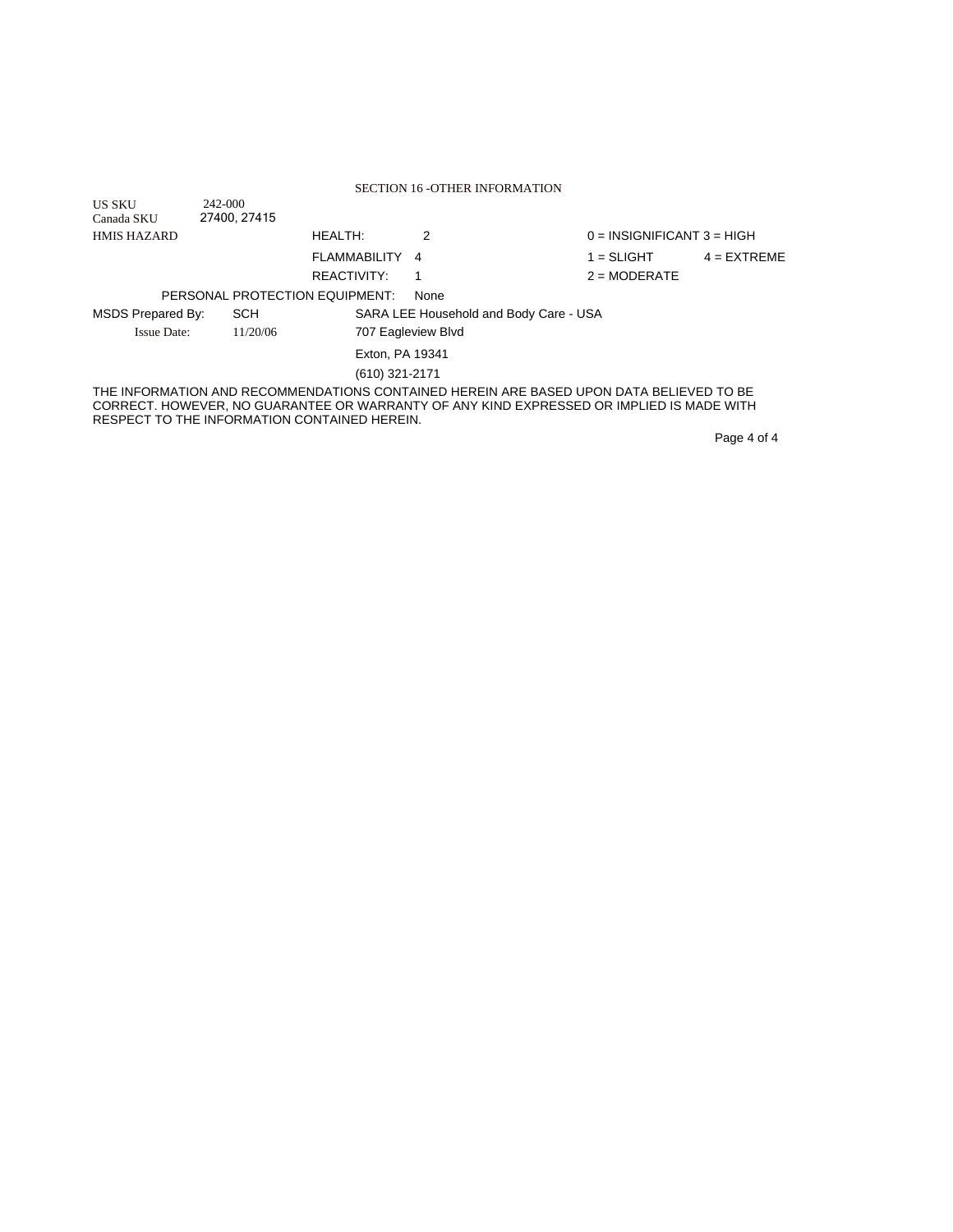|                          |                                              |                 | <b>SECTION 16 -OTHER INFORMATION</b>                                                                                                                                                |                              |               |
|--------------------------|----------------------------------------------|-----------------|-------------------------------------------------------------------------------------------------------------------------------------------------------------------------------------|------------------------------|---------------|
| <b>US SKU</b>            | 242-000                                      |                 |                                                                                                                                                                                     |                              |               |
| Canada SKU               | 27400, 27415                                 |                 |                                                                                                                                                                                     |                              |               |
| <b>HMIS HAZARD</b>       |                                              | <b>HEALTH:</b>  | 2                                                                                                                                                                                   | $0 = INSIGNIFICANT 3 = HIGH$ |               |
|                          |                                              | FLAMMABILITY    | 4                                                                                                                                                                                   | $1 = SLIGHT$                 | $4 = EXTREME$ |
|                          |                                              | REACTIVITY:     | 1                                                                                                                                                                                   | $2 = MODERATE$               |               |
|                          | PERSONAL PROTECTION EQUIPMENT:               |                 | None                                                                                                                                                                                |                              |               |
| <b>MSDS Prepared By:</b> | <b>SCH</b>                                   |                 | SARA LEE Household and Body Care - USA                                                                                                                                              |                              |               |
| <b>Issue Date:</b>       | 11/20/06                                     |                 | 707 Eagleview Blvd                                                                                                                                                                  |                              |               |
|                          |                                              | Exton, PA 19341 |                                                                                                                                                                                     |                              |               |
|                          |                                              | (610) 321-2171  |                                                                                                                                                                                     |                              |               |
|                          | RESPECT TO THE INFORMATION CONTAINED HEREIN. |                 | THE INFORMATION AND RECOMMENDATIONS CONTAINED HEREIN ARE BASED UPON DATA BELIEVED TO BE<br>CORRECT. HOWEVER, NO GUARANTEE OR WARRANTY OF ANY KIND EXPRESSED OR IMPLIED IS MADE WITH |                              |               |
|                          |                                              |                 |                                                                                                                                                                                     |                              | Page 4 of 4   |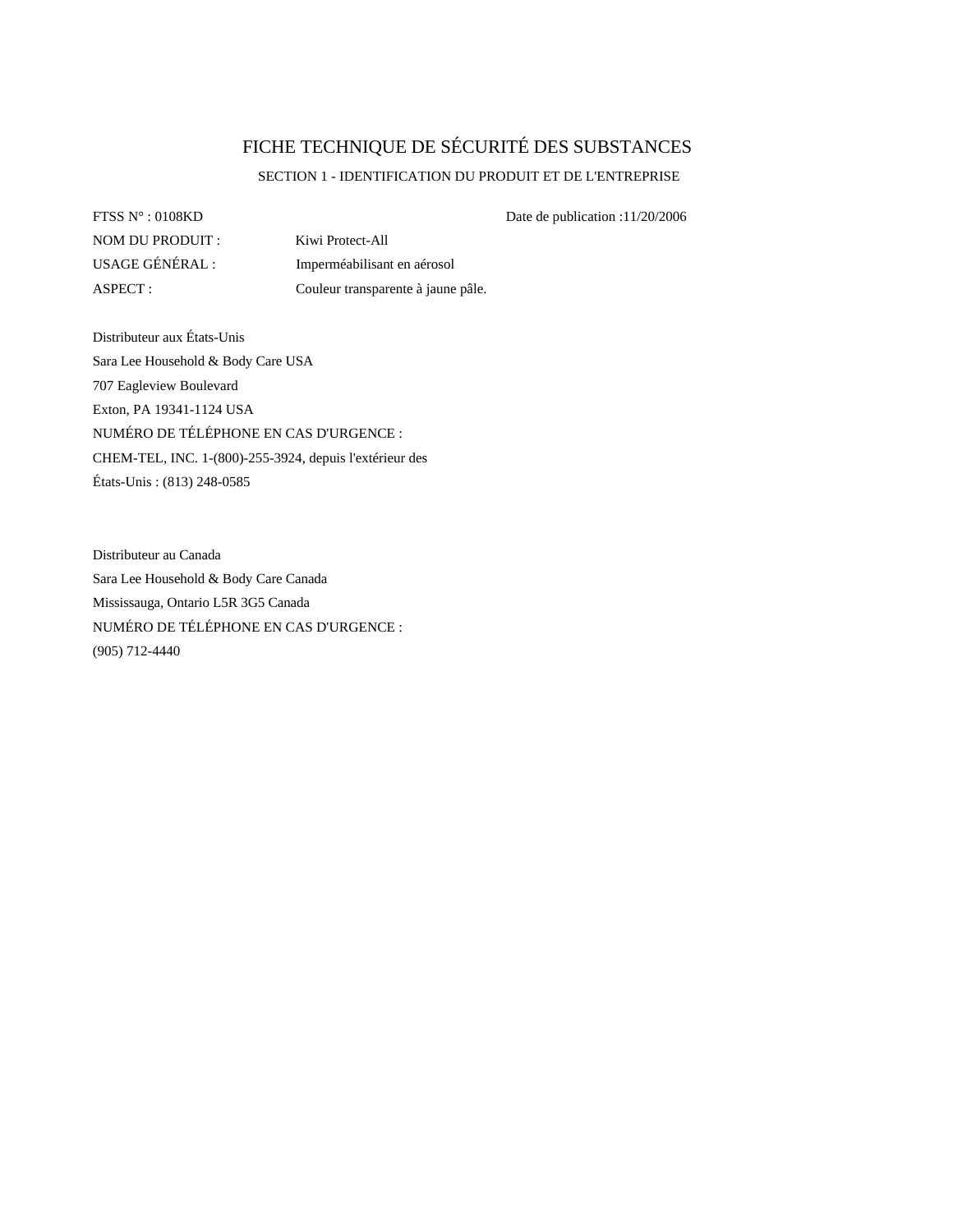# FICHE TECHNIQUE DE SÉCURITÉ DES SUBSTANCES

# SECTION 1 - IDENTIFICATION DU PRODUIT ET DE L'ENTREPRISE

FTSS  $N^{\circ}$ : 0108KD Date de publication :11/20/2006 NOM DU PRODUIT : Kiwi Protect-All

USAGE GÉNÉRAL : Imperméabilisant en aérosol ASPECT : Couleur transparente à jaune pâle.

Distributeur aux États-Unis Sara Lee Household & Body Care USA 707 Eagleview Boulevard Exton, PA 19341-1124 USA NUMÉRO DE TÉLÉPHONE EN CAS D'URGENCE : CHEM-TEL, INC. 1-(800)-255-3924, depuis l'extérieur des États-Unis : (813) 248-0585

Distributeur au Canada Sara Lee Household & Body Care Canada Mississauga, Ontario L5R 3G5 Canada NUMÉRO DE TÉLÉPHONE EN CAS D'URGENCE : (905) 712-4440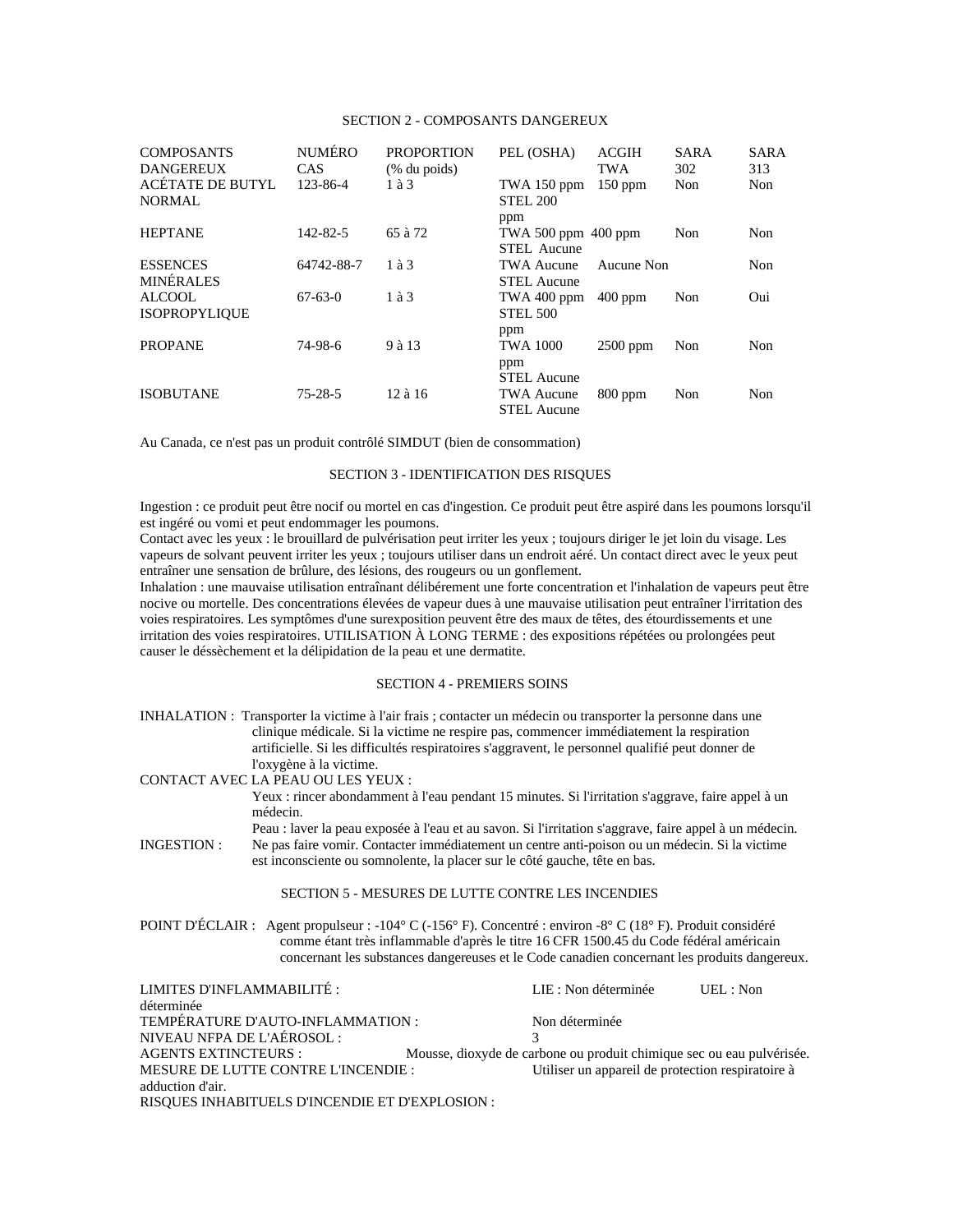# SECTION 2 - COMPOSANTS DANGEREUX

| <b>COMPOSANTS</b><br><b>DANGEREUX</b> | <b>NUMÉRO</b><br><b>CAS</b> | <b>PROPORTION</b><br>$%$ du poids) | PEL (OSHA)                         | <b>ACGIH</b><br><b>TWA</b> | <b>SARA</b><br>302 | <b>SARA</b><br>313 |
|---------------------------------------|-----------------------------|------------------------------------|------------------------------------|----------------------------|--------------------|--------------------|
| ACÉTATE DE BUTYL<br>NORMAL            | 123-86-4                    | $1$ à $3$                          | TWA 150 ppm<br><b>STEL 200</b>     | $150$ ppm                  | Non                | Non                |
|                                       |                             |                                    | ppm                                |                            |                    |                    |
| <b>HEPTANE</b>                        | 142-82-5                    | 65 à 72                            | TWA 500 ppm 400 ppm<br>STEL Aucune |                            | Non                | Non                |
| <b>ESSENCES</b><br><b>MINÉRALES</b>   | 64742-88-7                  | $1$ à $3$                          | TWA Aucune<br><b>STEL Aucune</b>   | Aucune Non                 |                    | Non                |
| ALCOOL<br><b>ISOPROPYLIQUE</b>        | $67-63-0$                   | $1$ à $3$                          | TWA 400 ppm<br><b>STEL 500</b>     | $400$ ppm                  | Non                | Oui                |
|                                       |                             |                                    | ppm                                |                            |                    |                    |
| <b>PROPANE</b>                        | 74-98-6                     | 9 à 13                             | <b>TWA 1000</b>                    | $2500$ ppm                 | Non                | Non                |
|                                       |                             |                                    | ppm<br><b>STEL Aucune</b>          |                            |                    |                    |
| <b>ISOBUTANE</b>                      | $75 - 28 - 5$               | 12 à 16                            | <b>TWA Aucune</b>                  | $800$ ppm                  | Non                | Non                |
|                                       |                             |                                    | <b>STEL Aucune</b>                 |                            |                    |                    |

Au Canada, ce n'est pas un produit contrôlé SIMDUT (bien de consommation)

# SECTION 3 - IDENTIFICATION DES RISQUES

Ingestion : ce produit peut être nocif ou mortel en cas d'ingestion. Ce produit peut être aspiré dans les poumons lorsqu'il est ingéré ou vomi et peut endommager les poumons.

Contact avec les yeux : le brouillard de pulvérisation peut irriter les yeux ; toujours diriger le jet loin du visage. Les vapeurs de solvant peuvent irriter les yeux ; toujours utiliser dans un endroit aéré. Un contact direct avec le yeux peut entraîner une sensation de brûlure, des lésions, des rougeurs ou un gonflement.

Inhalation : une mauvaise utilisation entraînant délibérement une forte concentration et l'inhalation de vapeurs peut être nocive ou mortelle. Des concentrations élevées de vapeur dues à une mauvaise utilisation peut entraîner l'irritation des voies respiratoires. Les symptômes d'une surexposition peuvent être des maux de têtes, des étourdissements et une irritation des voies respiratoires. UTILISATION À LONG TERME : des expositions répétées ou prolongées peut causer le déssèchement et la délipidation de la peau et une dermatite.

# SECTION 4 - PREMIERS SOINS

INHALATION : Transporter la victime à l'air frais ; contacter un médecin ou transporter la personne dans une clinique médicale. Si la victime ne respire pas, commencer immédiatement la respiration artificielle. Si les difficultés respiratoires s'aggravent, le personnel qualifié peut donner de l'oxygène à la victime.

CONTACT AVEC LA PEAU OU LES YEUX :

Yeux : rincer abondamment à l'eau pendant 15 minutes. Si l'irritation s'aggrave, faire appel à un médecin.

Peau : laver la peau exposée à l'eau et au savon. Si l'irritation s'aggrave, faire appel à un médecin. INGESTION : Ne pas faire vomir. Contacter immédiatement un centre anti-poison ou un médecin. Si la victime est inconsciente ou somnolente, la placer sur le côté gauche, tête en bas.

# SECTION 5 - MESURES DE LUTTE CONTRE LES INCENDIES

POINT D'ÉCLAIR : Agent propulseur : -104° C (-156° F). Concentré : environ -8° C (18° F). Produit considéré comme étant très inflammable d'après le titre 16 CFR 1500.45 du Code fédéral américain concernant les substances dangereuses et le Code canadien concernant les produits dangereux.

| LIMITES D'INFLAMMABILITÉ :                      | LIE : Non déterminée<br>UEL: Non                                      |  |
|-------------------------------------------------|-----------------------------------------------------------------------|--|
| déterminée                                      |                                                                       |  |
| TEMPÉRATURE D'AUTO-INFLAMMATION :               | Non déterminée                                                        |  |
| NIVEAU NFPA DE L'AÉROSOL :                      |                                                                       |  |
| <b>AGENTS EXTINCTEURS:</b>                      | Mousse, dioxyde de carbone ou produit chimique sec ou eau pulvérisée. |  |
| MESURE DE LUTTE CONTRE L'INCENDIE :             | Utiliser un appareil de protection respiratoire à                     |  |
| adduction d'air.                                |                                                                       |  |
| RISQUES INHABITUELS D'INCENDIE ET D'EXPLOSION : |                                                                       |  |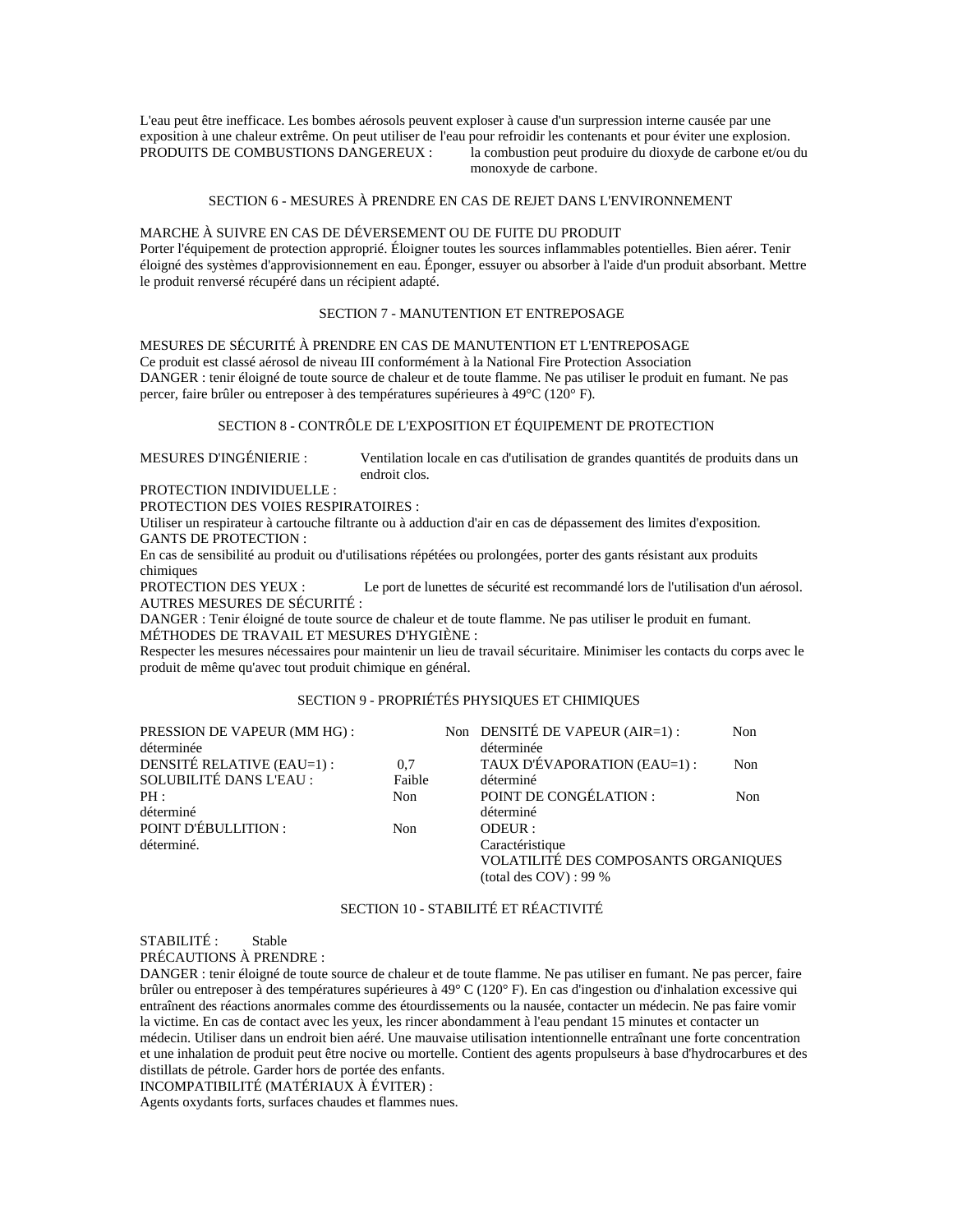L'eau peut être inefficace. Les bombes aérosols peuvent exploser à cause d'un surpression interne causée par une exposition à une chaleur extrême. On peut utiliser de l'eau pour refroidir les contenants et pour éviter une explosion.<br>PRODUITS DE COMBUSTIONS DANGEREUX : la combustion peut produire du dioxyde de carbone et/ou la combustion peut produire du dioxyde de carbone et/ou du monoxyde de carbone.

#### SECTION 6 - MESURES À PRENDRE EN CAS DE REJET DANS L'ENVIRONNEMENT

## MARCHE À SUIVRE EN CAS DE DÉVERSEMENT OU DE FUITE DU PRODUIT Porter l'équipement de protection approprié. Éloigner toutes les sources inflammables potentielles. Bien aérer. Tenir éloigné des systèmes d'approvisionnement en eau. Éponger, essuyer ou absorber à l'aide d'un produit absorbant. Mettre le produit renversé récupéré dans un récipient adapté.

#### SECTION 7 - MANUTENTION ET ENTREPOSAGE

MESURES DE SÉCURITÉ À PRENDRE EN CAS DE MANUTENTION ET L'ENTREPOSAGE Ce produit est classé aérosol de niveau III conformément à la National Fire Protection Association DANGER : tenir éloigné de toute source de chaleur et de toute flamme. Ne pas utiliser le produit en fumant. Ne pas percer, faire brûler ou entreposer à des températures supérieures à 49°C (120° F).

## SECTION 8 - CONTRÔLE DE L'EXPOSITION ET ÉQUIPEMENT DE PROTECTION

MESURES D'INGÉNIERIE : Ventilation locale en cas d'utilisation de grandes quantités de produits dans un endroit clos.

PROTECTION INDIVIDUELLE :

PROTECTION DES VOIES RESPIRATOIRES :

Utiliser un respirateur à cartouche filtrante ou à adduction d'air en cas de dépassement des limites d'exposition. GANTS DE PROTECTION :

En cas de sensibilité au produit ou d'utilisations répétées ou prolongées, porter des gants résistant aux produits chimiques

PROTECTION DES YEUX : Le port de lunettes de sécurité est recommandé lors de l'utilisation d'un aérosol. AUTRES MESURES DE SÉCURITÉ :

DANGER : Tenir éloigné de toute source de chaleur et de toute flamme. Ne pas utiliser le produit en fumant. MÉTHODES DE TRAVAIL ET MESURES D'HYGIÈNE :

Respecter les mesures nécessaires pour maintenir un lieu de travail sécuritaire. Minimiser les contacts du corps avec le produit de même qu'avec tout produit chimique en général.

# SECTION 9 - PROPRIÉTÉS PHYSIQUES ET CHIMIQUES

| PRESSION DE VAPEUR (MM HG) : |        | Non DENSITÉ DE VAPEUR (AIR=1) :      | Non |
|------------------------------|--------|--------------------------------------|-----|
| déterminée                   |        | déterminée                           |     |
| DENSITÉ RELATIVE (EAU=1) :   | 0.7    | TAUX D'ÉVAPORATION (EAU=1) :         | Non |
| SOLUBILITÉ DANS L'EAU :      | Faible | déterminé                            |     |
| PH:                          | Non    | POINT DE CONGÉLATION :               | Non |
| déterminé                    |        | déterminé                            |     |
| POINT D'ÉBULLITION :         | Non    | ODEUR :                              |     |
| déterminé.                   |        | Caractéristique                      |     |
|                              |        | VOLATILITÉ DES COMPOSANTS ORGANIQUES |     |
|                              |        | (total des $COV$ ) : 99 %            |     |
|                              |        |                                      |     |

# SECTION 10 - STABILITÉ ET RÉACTIVITÉ

STABILITÉ : Stable

PRÉCAUTIONS À PRENDRE :

DANGER : tenir éloigné de toute source de chaleur et de toute flamme. Ne pas utiliser en fumant. Ne pas percer, faire brûler ou entreposer à des températures supérieures à 49° C (120° F). En cas d'ingestion ou d'inhalation excessive qui entraînent des réactions anormales comme des étourdissements ou la nausée, contacter un médecin. Ne pas faire vomir la victime. En cas de contact avec les yeux, les rincer abondamment à l'eau pendant 15 minutes et contacter un médecin. Utiliser dans un endroit bien aéré. Une mauvaise utilisation intentionnelle entraînant une forte concentration et une inhalation de produit peut être nocive ou mortelle. Contient des agents propulseurs à base d'hydrocarbures et des distillats de pétrole. Garder hors de portée des enfants.

INCOMPATIBILITÉ (MATÉRIAUX À ÉVITER) :

Agents oxydants forts, surfaces chaudes et flammes nues.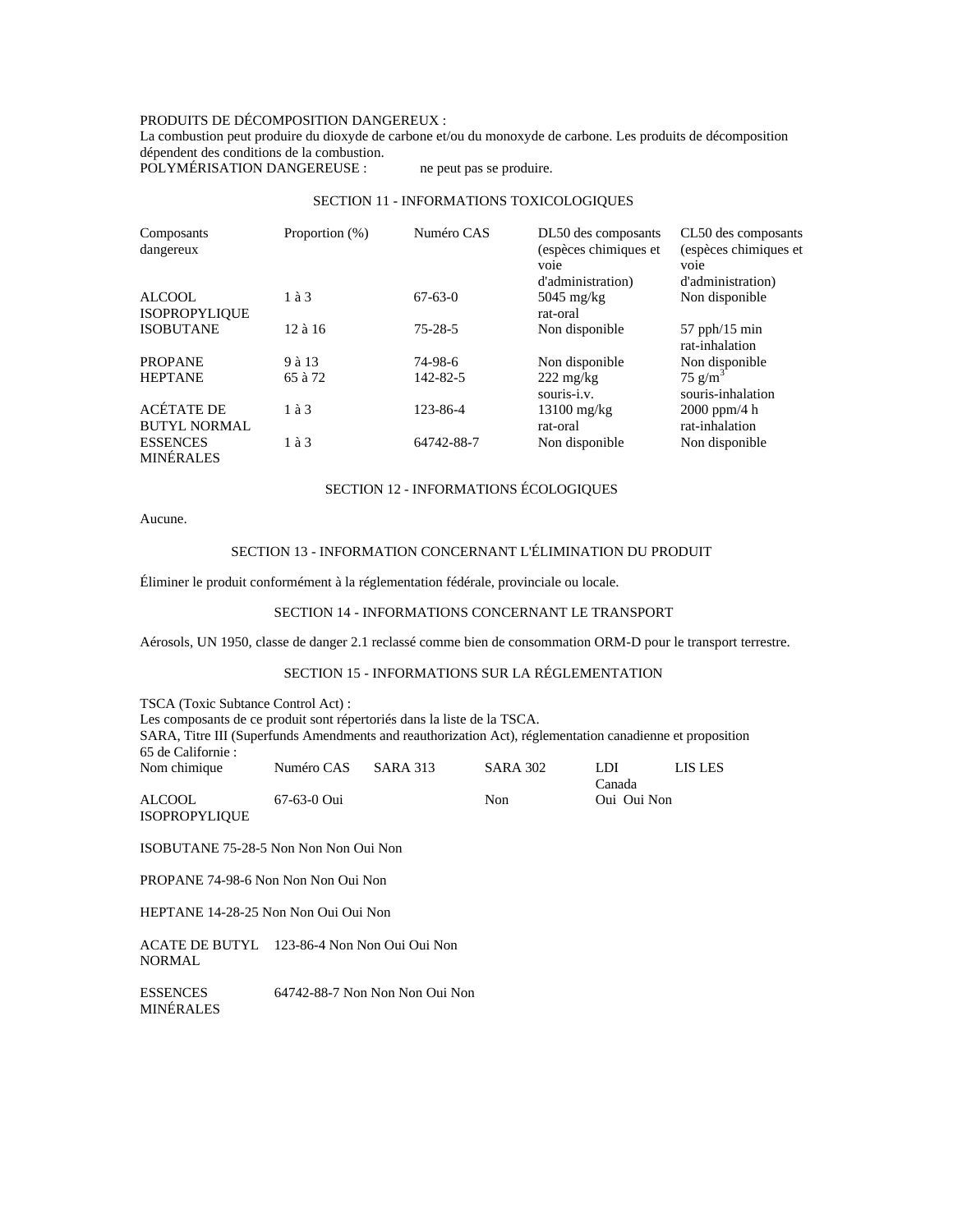# PRODUITS DE DÉCOMPOSITION DANGEREUX :

La combustion peut produire du dioxyde de carbone et/ou du monoxyde de carbone. Les produits de décomposition dépendent des conditions de la combustion.

POLYMÉRISATION DANGEREUSE : ne peut pas se produire.

# SECTION 11 - INFORMATIONS TOXICOLOGIQUES

| Composants           | Proportion (%) | Numéro CAS     | DL50 des composants   | CL50 des composants   |
|----------------------|----------------|----------------|-----------------------|-----------------------|
| dangereux            |                |                | (espèces chimiques et | (espèces chimiques et |
|                      |                |                | voie                  | voie                  |
|                      |                |                | d'administration)     | d'administration)     |
| <b>ALCOOL</b>        | 1 à 3          | $67-63-0$      | $5045 \text{ mg/kg}$  | Non disponible        |
| <b>ISOPROPYLIQUE</b> |                |                | rat-oral              |                       |
| <b>ISOBUTANE</b>     | $12$ à $16$    | $75 - 28 - 5$  | Non disponible        | $57$ pph/15 min       |
|                      |                |                |                       | rat-inhalation        |
| <b>PROPANE</b>       | 9 à 13         | 74-98-6        | Non disponible        | Non disponible        |
| <b>HEPTANE</b>       | 65 à 72        | $142 - 82 - 5$ | $222 \text{ mg/kg}$   | $75$ g/m <sup>3</sup> |
|                      |                |                | souris-i.v.           | souris-inhalation     |
| ACÉTATE DE           | $1$ à $3$      | 123-86-4       | $13100$ mg/kg         | $2000$ ppm/4 h        |
| <b>BUTYL NORMAL</b>  |                |                | rat-oral              | rat-inhalation        |
| <b>ESSENCES</b>      | $1$ à $3$      | 64742-88-7     | Non disponible        | Non disponible        |
| <b>MINÉRALES</b>     |                |                |                       |                       |

# SECTION 12 - INFORMATIONS ÉCOLOGIQUES

Aucune.

# SECTION 13 - INFORMATION CONCERNANT L'ÉLIMINATION DU PRODUIT

Éliminer le produit conformément à la réglementation fédérale, provinciale ou locale.

## SECTION 14 - INFORMATIONS CONCERNANT LE TRANSPORT

Aérosols, UN 1950, classe de danger 2.1 reclassé comme bien de consommation ORM-D pour le transport terrestre.

# SECTION 15 - INFORMATIONS SUR LA RÉGLEMENTATION

| TSCA (Toxic Subtance Control Act):                                                                        |             |                 |                 |             |         |  |  |
|-----------------------------------------------------------------------------------------------------------|-------------|-----------------|-----------------|-------------|---------|--|--|
| Les composants de ce produit sont répertoriés dans la liste de la TSCA.                                   |             |                 |                 |             |         |  |  |
| SARA, Titre III (Superfunds Amendments and reauthorization Act), réglementation canadienne et proposition |             |                 |                 |             |         |  |  |
| 65 de Californie :                                                                                        |             |                 |                 |             |         |  |  |
| Nom chimique                                                                                              | Numéro CAS  | <b>SARA 313</b> | <b>SARA 302</b> | LDI         | LIS LES |  |  |
|                                                                                                           |             |                 |                 | Canada      |         |  |  |
| <b>ALCOOL</b>                                                                                             | 67-63-0 Oui |                 | Non             | Oui Oui Non |         |  |  |
| <b>ISOPROPYLIQUE</b>                                                                                      |             |                 |                 |             |         |  |  |
|                                                                                                           |             |                 |                 |             |         |  |  |
| ISOBUTANE 75-28-5 Non Non Non Oui Non                                                                     |             |                 |                 |             |         |  |  |

PROPANE 74-98-6 Non Non Non Oui Non

HEPTANE 14-28-25 Non Non Oui Oui Non

ACATE DE BUTYL 123-86-4 Non Non Oui Oui Non NORMAL

ESSENCES MINÉRALES 64742-88-7 Non Non Non Oui Non